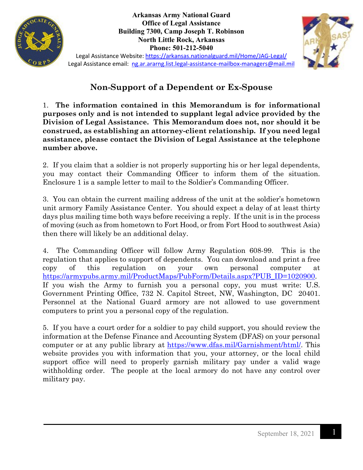

**Arkansas Army National Guard Office of Legal Assistance Building 7300, Camp Joseph T. Robinson North Little Rock, Arkansas Phone: 501-212-5040**



Legal Assistance Website:<https://arkansas.nationalguard.mil/Home/JAG-Legal/> Legal Assistance email: [ng.ar.ararng.list.legal-assistance-mailbox-managers@mail.mil](mailto:ng.ar.ararng.list.legal-assistance-mailbox-managers@mail.mil)

## **Non-Support of a Dependent or Ex-Spouse**

1. **The information contained in this Memorandum is for informational purposes only and is not intended to supplant legal advice provided by the Division of Legal Assistance. This Memorandum does not, nor should it be construed, as establishing an attorney-client relationship. If you need legal assistance, please contact the Division of Legal Assistance at the telephone number above.** 

2. If you claim that a soldier is not properly supporting his or her legal dependents, you may contact their Commanding Officer to inform them of the situation. Enclosure 1 is a sample letter to mail to the Soldier's Commanding Officer.

3. You can obtain the current mailing address of the unit at the soldier's hometown unit armory Family Assistance Center. You should expect a delay of at least thirty days plus mailing time both ways before receiving a reply. If the unit is in the process of moving (such as from hometown to Fort Hood, or from Fort Hood to southwest Asia) then there will likely be an additional delay.

4. The Commanding Officer will follow Army Regulation 608-99. This is the regulation that applies to support of dependents. You can download and print a free copy of this regulation on your own personal computer at [https://armypubs.army.mil/ProductMaps/PubForm/Details.aspx?PUB\\_ID=1020900.](https://armypubs.army.mil/ProductMaps/PubForm/Details.aspx?PUB_ID=1020900) If you wish the Army to furnish you a personal copy, you must write: U.S. Government Printing Office, 732 N. Capitol Street, NW, Washington, DC 20401. Personnel at the National Guard armory are not allowed to use government computers to print you a personal copy of the regulation.

5. If you have a court order for a soldier to pay child support, you should review the information at the Defense Finance and Accounting System (DFAS) on your personal computer or at any public library at [https://www.dfas.mil/Garnishment/html/.](https://www.dfas.mil/Garnishment/html/) This website provides you with information that you, your attorney, or the local child support office will need to properly garnish military pay under a valid wage withholding order. The people at the local armory do not have any control over military pay.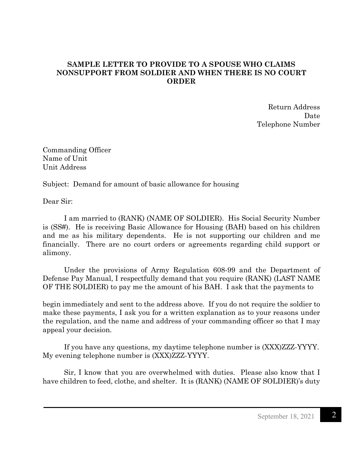## **SAMPLE LETTER TO PROVIDE TO A SPOUSE WHO CLAIMS NONSUPPORT FROM SOLDIER AND WHEN THERE IS NO COURT ORDER**

Return Address Date Telephone Number

Commanding Officer Name of Unit Unit Address

Subject: Demand for amount of basic allowance for housing

Dear Sir:

I am married to (RANK) (NAME OF SOLDIER). His Social Security Number is (SS#). He is receiving Basic Allowance for Housing (BAH) based on his children and me as his military dependents. He is not supporting our children and me financially. There are no court orders or agreements regarding child support or alimony.

Under the provisions of Army Regulation 608-99 and the Department of Defense Pay Manual, I respectfully demand that you require (RANK) (LAST NAME OF THE SOLDIER) to pay me the amount of his BAH. I ask that the payments to

begin immediately and sent to the address above. If you do not require the soldier to make these payments, I ask you for a written explanation as to your reasons under the regulation, and the name and address of your commanding officer so that I may appeal your decision.

If you have any questions, my daytime telephone number is (XXX)ZZZ-YYYY. My evening telephone number is (XXX)ZZZ-YYYY.

Sir, I know that you are overwhelmed with duties. Please also know that I have children to feed, clothe, and shelter. It is (RANK) (NAME OF SOLDIER)'s duty